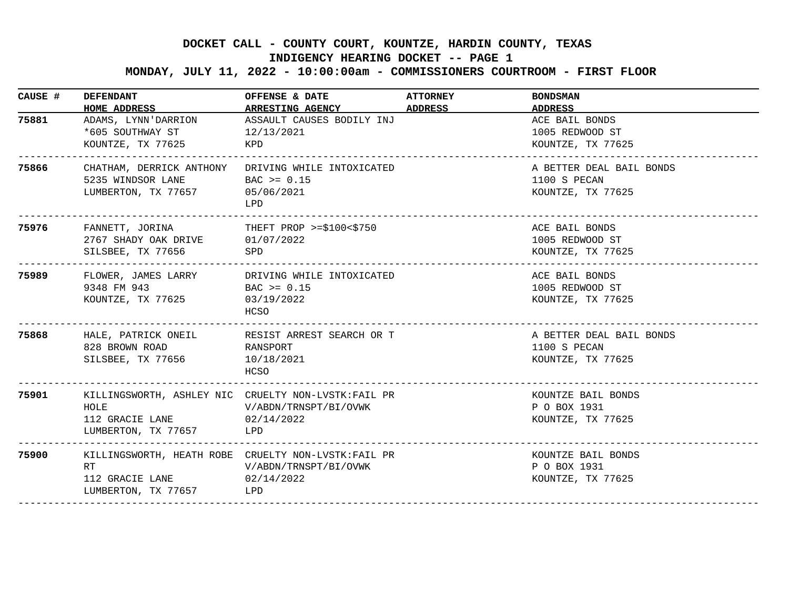## **DOCKET CALL - COUNTY COURT, KOUNTZE, HARDIN COUNTY, TEXAS**

## **INDIGENCY HEARING DOCKET -- PAGE 1**

 **MONDAY, JULY 11, 2022 - 10:00:00am - COMMISSIONERS COURTROOM - FIRST FLOOR**

| CAUSE # | <b>DEFENDANT</b><br>HOME ADDRESS                                                                                                                  | OFFENSE & DATE<br>ARRESTING AGENCY ADDRESS                                                         | <b>ATTORNEY</b>             | <b>BONDSMAN</b><br>ADDRESS                                                   |
|---------|---------------------------------------------------------------------------------------------------------------------------------------------------|----------------------------------------------------------------------------------------------------|-----------------------------|------------------------------------------------------------------------------|
| 75881   | ADAMS, LYNN'DARRION<br>*605 SOUTHWAY ST<br>KOUNTZE, TX 77625                                                                                      | ASSAULT CAUSES BODILY INJ<br>12/13/2021<br>KPD                                                     |                             | ACE BAIL BONDS<br>1005 REDWOOD ST<br>KOUNTZE, TX 77625                       |
| 75866   | 5235 WINDSOR LANE BAC $> = 0.15$<br>LUMBERTON, TX 77657 05/06/2021                                                                                | CHATHAM, DERRICK ANTHONY DRIVING WHILE INTOXICATED<br>LPD                                          |                             | A BETTER DEAL BAIL BONDS<br>1100 S PECAN<br>KOUNTZE, TX 77625                |
| 75976   | FANNETT, JORINA THEFT PROP >=\$100<\$750<br>2767 SHADY OAK DRIVE 01/07/2022<br>SILSBEE, TX 77656<br><b>SPD</b><br>_______________________________ |                                                                                                    | __________________________  | ACE BAIL BONDS<br>1005 REDWOOD ST<br>KOUNTZE, TX 77625<br><u>___________</u> |
| 75989   | 9348 FM 943<br>KOUNTZE, TX 77625                                                                                                                  | FLOWER, JAMES LARRY DRIVING WHILE INTOXICATED<br>$\text{BAC}$ >= 0.15<br>03/19/2022<br>HCSO        |                             | ACE BAIL BONDS<br>1005 REDWOOD ST<br>KOUNTZE, TX 77625                       |
| 75868   | HALE, PATRICK ONEIL<br>828 BROWN ROAD<br>SILSBEE, TX 77656                                                                                        | RESIST ARREST SEARCH OR T<br>RANSPORT<br>10/18/2021<br>HCSO                                        | ___________________________ | A BETTER DEAL BAIL BONDS<br>1100 S PECAN<br>KOUNTZE, TX 77625                |
| 75901   | HOLE<br>112 GRACIE LANE<br>LUMBERTON, TX 77657                                                                                                    | KILLINGSWORTH, ASHLEY NIC CRUELTY NON-LVSTK: FAIL PR<br>V/ABDN/TRNSPT/BI/OVWK<br>02/14/2022<br>LPD |                             | KOUNTZE BAIL BONDS<br>P O BOX 1931<br>KOUNTZE, TX 77625                      |
| 75900   | RT<br>112 GRACIE LANE<br>LUMBERTON, TX 77657                                                                                                      | KILLINGSWORTH, HEATH ROBE CRUELTY NON-LVSTK: FAIL PR<br>V/ABDN/TRNSPT/BI/OVWK<br>02/14/2022<br>LPD |                             | KOUNTZE BAIL BONDS<br>P O BOX 1931<br>KOUNTZE, TX 77625                      |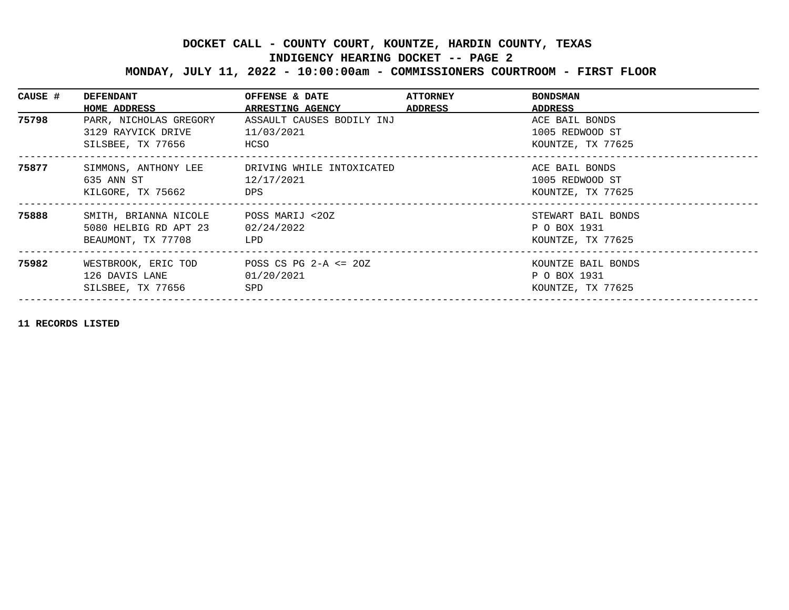## **DOCKET CALL - COUNTY COURT, KOUNTZE, HARDIN COUNTY, TEXAS**

## **INDIGENCY HEARING DOCKET -- PAGE 2**

 **MONDAY, JULY 11, 2022 - 10:00:00am - COMMISSIONERS COURTROOM - FIRST FLOOR**

| CAUSE # | <b>DEFENDANT</b><br>HOME ADDRESS                                                 | OFFENSE & DATE<br>ARRESTING AGENCY ADDRESS      | <b>ATTORNEY</b> | <b>BONDSMAN</b><br>ADDRESS                              |
|---------|----------------------------------------------------------------------------------|-------------------------------------------------|-----------------|---------------------------------------------------------|
| 75798   | PARR, NICHOLAS GREGORY<br>3129 RAYVICK DRIVE<br>SILSBEE, TX 77656                | ASSAULT CAUSES BODILY INJ<br>11/03/2021<br>HCSO |                 | ACE BAIL BONDS<br>1005 REDWOOD ST<br>KOUNTZE, TX 77625  |
| 75877   | SIMMONS, ANTHONY LEE<br>635 ANN ST<br>KILGORE, TX 75662                          | DRIVING WHILE INTOXICATED<br>12/17/2021<br>DPS  |                 | ACE BAIL BONDS<br>1005 REDWOOD ST<br>KOUNTZE, TX 77625  |
| 75888   | SMITH, BRIANNA NICOLE<br>5080 HELBIG RD APT 23<br>BEAUMONT, TX 77708             | POSS MARIJ <20Z<br>02/24/2022<br>LPD            |                 | STEWART BAIL BONDS<br>P O BOX 1931<br>KOUNTZE, TX 77625 |
| 75982   | WESTBROOK, ERIC TOD POSS CS PG 2-A <= 20Z<br>126 DAVIS LANE<br>SILSBEE, TX 77656 | 01/20/2021<br>SPD                               |                 | KOUNTZE BAIL BONDS<br>P O BOX 1931<br>KOUNTZE, TX 77625 |

**11 RECORDS LISTED**